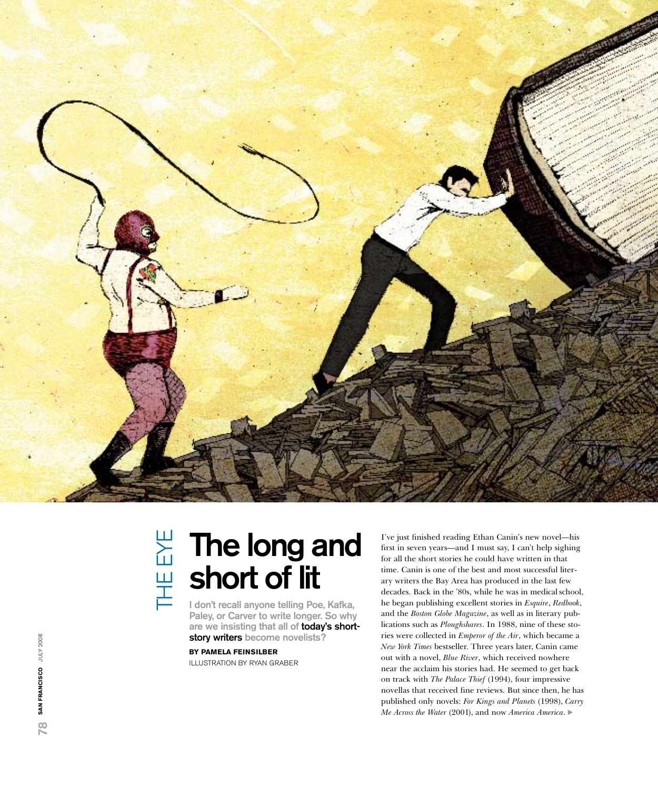

# THE EYE The eye

## The long and short of lit

I don't recall anyone telling Poe, Kafka, Paley, or Carver to write longer. So why are we insisting that all of today's shortstory writers become novelists?

**By Pamela Feinsil ber** Illustrat ion by Ryan Graber

I've just finished reading Ethan Canin's new novel—his first in seven years—and I must say, I can't help sighing for all the short stories he could have written in that time. Canin is one of the best and most successful liter ary writers the Bay Area has produced in the last few decades. Back in the '80s, while he was in medical school, he began publishing excellent stories in *Esquire*, *Redbook*, and the *Boston Globe Magazine*, as well as in literary pub lications such as *Ploughshares*. In 1988, nine of these sto ries were collected in *Emperor of the Air*, which became a *New York Times* bestseller. Three years later, Canin came out with a novel, *Blue River*, which received nowhere near the acclaim his stories had. He seemed to get back on track with *The Palace Thief* (1994), four impressive novellas that received fine reviews. But since then, he has published only novels: *For Kings and Planets* (1998), *Carry Me Across the Water* (2001), and now *America America*.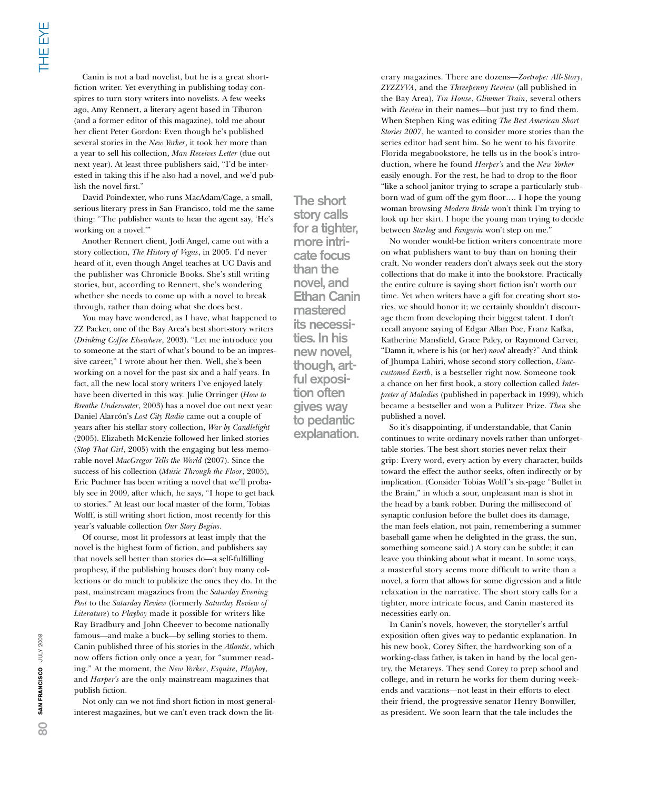Canin is not a bad novelist, but he is a great shortfiction writer. Yet everything in publishing today conspires to turn story writers into novelists. A few weeks ago, Amy Rennert, a literary agent based in Tiburon (and a former editor of this magazine), told me about her client Peter Gordon: Even though he's published several stories in the *New Yorker*, it took her more than a year to sell his collection, *Man Receives Letter* (due out next year). At least three publishers said, "I'd be interested in taking this if he also had a novel, and we'd publish the novel first."

David Poindexter, who runs MacAdam/Cage, a small, serious literary press in San Francisco, told me the same thing: "The publisher wants to hear the agent say, 'He's working on a novel.'"

Another Rennert client, Jodi Angel, came out with a story collection, *The History of Vegas*, in 2005. I'd never heard of it, even though Angel teaches at UC Davis and the publisher was Chronicle Books. She's still writing stories, but, according to Rennert, she's wondering whether she needs to come up with a novel to break through, rather than doing what she does best.

You may have wondered, as I have, what happened to ZZ Packer, one of the Bay Area's best short-story writers (*Drinking Coffee Elsewhere*, 2003). "Let me introduce you to someone at the start of what's bound to be an impressive career," I wrote about her then. Well, she's been working on a novel for the past six and a half years. In fact, all the new local story writers I've enjoyed lately have been diverted in this way. Julie Orringer (*How to Breathe Underwater*, 2003) has a novel due out next year. Daniel Alarcón's *Lost City Radio* came out a couple of years after his stellar story collection, *War by Candlelight* (2005). Elizabeth McKenzie followed her linked stories (*Stop That Girl*, 2005) with the engaging but less memorable novel *MacGregor Tells the World* (2007). Since the success of his collection (*Music Through the Floor*, 2005), Eric Puchner has been writing a novel that we'll probably see in 2009, after which, he says, "I hope to get back to stories." At least our local master of the form, Tobias Wolff, is still writing short fiction, most recently for this year's valuable collection *Our Story Begins*.

Of course, most lit professors at least imply that the novel is the highest form of fiction, and publishers say that novels sell better than stories do—a self-fulfilling prophesy, if the publishing houses don't buy many collections or do much to publicize the ones they do. In the past, mainstream magazines from the *Saturday Evening Post* to the *Saturday Review* (formerly *Saturday Review of Literature*) to *Playboy* made it possible for writers like Ray Bradbury and John Cheever to become nationally famous—and make a buck—by selling stories to them. Canin published three of his stories in the *Atlantic*, which now offers fiction only once a year, for "summer reading." At the moment, the *New Yorker*, *Esquire*, *Playboy*, and *Harper's* are the only mainstream magazines that publish fiction.

Not only can we not find short fiction in most generalinterest magazines, but we can't even track down the litThe short story calls for a tighter, more intri- cate focus than the novel, and Ethan Canin mastered its necessi- ties. In his new novel, though, art-<br>ful exposi-<br>tion often gives way to pedantic explanation.

erary magazines. There are dozens—*Zoetrope: All-Story*, *ZYZZYVA*, and the *Threepenny Review* (all published in the Bay Area), *Tin House*, *Glimmer Train*, several others with *Review* in their names—but just try to find them. When Stephen King was editing *The Best American Short Stories 2007*, he wanted to consider more stories than the series editor had sent him. So he went to his favorite Florida megabookstore, he tells us in the book's introduction, where he found *Harper's* and the *New Yorker* easily enough. For the rest, he had to drop to the floor "like a school janitor trying to scrape a particularly stubborn wad of gum off the gym floor…. I hope the young woman browsing *Modern Bride* won't think I'm trying to look up her skirt. I hope the young man trying to decide between *Starlog* and *Fangoria* won't step on me."

No wonder would-be fiction writers concentrate more on what publishers want to buy than on honing their craft. No wonder readers don't always seek out the story collections that do make it into the bookstore. Practically the entire culture is saying short fiction isn't worth our time. Yet when writers have a gift for creating short stories, we should honor it; we certainly shouldn't discourage them from developing their biggest talent. I don't recall anyone saying of Edgar Allan Poe, Franz Kafka, Katherine Mansfield, Grace Paley, or Raymond Carver, "Damn it, where is his (or her) *novel* already?" And think of Jhumpa Lahiri, whose second story collection, *Unaccustomed Earth*, is a bestseller right now. Someone took a chance on her first book, a story collection called *Interpreter of Maladies* (published in paperback in 1999), which became a bestseller and won a Pulitzer Prize. *Then* she published a novel.

So it's disappointing, if understandable, that Canin continues to write ordinary novels rather than unforgettable stories. The best short stories never relax their grip: Every word, every action by every character, builds toward the effect the author seeks, often indirectly or by implication. (Consider Tobias Wolff 's six-page "Bullet in the Brain," in which a sour, unpleasant man is shot in the head by a bank robber. During the millisecond of synaptic confusion before the bullet does its damage, the man feels elation, not pain, remembering a summer baseball game when he delighted in the grass, the sun, something someone said.) A story can be subtle; it can leave you thinking about what it meant. In some ways, a masterful story seems more difficult to write than a novel, a form that allows for some digression and a little relaxation in the narrative. The short story calls for a tighter, more intricate focus, and Canin mastered its necessities early on.

In Canin's novels, however, the storyteller's artful exposition often gives way to pedantic explanation. In his new book, Corey Sifter, the hardworking son of a working-class father, is taken in hand by the local gentry, the Metareys. They send Corey to prep school and college, and in return he works for them during weekends and vacations—not least in their efforts to elect their friend, the progressive senator Henry Bonwiller, as president. We soon learn that the tale includes the